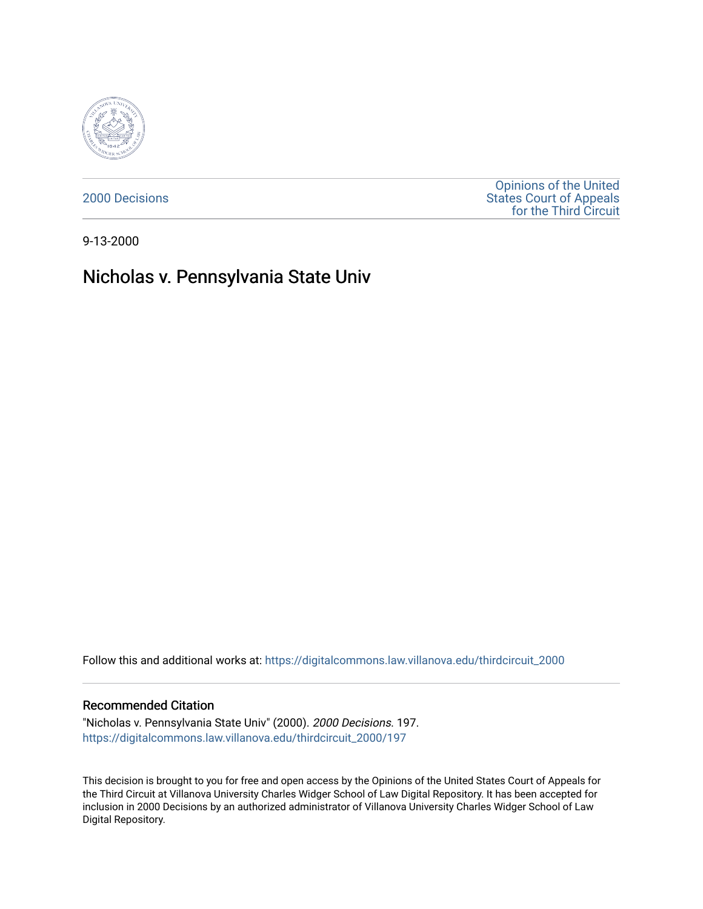

[2000 Decisions](https://digitalcommons.law.villanova.edu/thirdcircuit_2000)

[Opinions of the United](https://digitalcommons.law.villanova.edu/thirdcircuit)  [States Court of Appeals](https://digitalcommons.law.villanova.edu/thirdcircuit)  [for the Third Circuit](https://digitalcommons.law.villanova.edu/thirdcircuit) 

9-13-2000

# Nicholas v. Pennsylvania State Univ

Follow this and additional works at: [https://digitalcommons.law.villanova.edu/thirdcircuit\\_2000](https://digitalcommons.law.villanova.edu/thirdcircuit_2000?utm_source=digitalcommons.law.villanova.edu%2Fthirdcircuit_2000%2F197&utm_medium=PDF&utm_campaign=PDFCoverPages) 

## Recommended Citation

"Nicholas v. Pennsylvania State Univ" (2000). 2000 Decisions. 197. [https://digitalcommons.law.villanova.edu/thirdcircuit\\_2000/197](https://digitalcommons.law.villanova.edu/thirdcircuit_2000/197?utm_source=digitalcommons.law.villanova.edu%2Fthirdcircuit_2000%2F197&utm_medium=PDF&utm_campaign=PDFCoverPages)

This decision is brought to you for free and open access by the Opinions of the United States Court of Appeals for the Third Circuit at Villanova University Charles Widger School of Law Digital Repository. It has been accepted for inclusion in 2000 Decisions by an authorized administrator of Villanova University Charles Widger School of Law Digital Repository.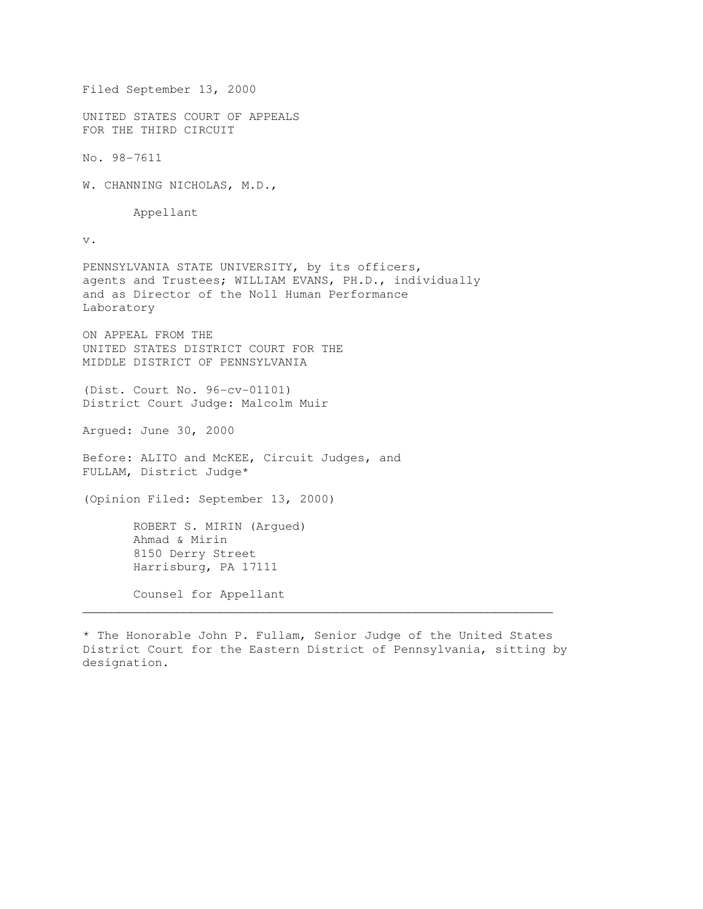Filed September 13, 2000 UNITED STATES COURT OF APPEALS FOR THE THIRD CIRCUIT No. 98-7611 W. CHANNING NICHOLAS, M.D., Appellant v. PENNSYLVANIA STATE UNIVERSITY, by its officers, agents and Trustees; WILLIAM EVANS, PH.D., individually and as Director of the Noll Human Performance Laboratory ON APPEAL FROM THE UNITED STATES DISTRICT COURT FOR THE MIDDLE DISTRICT OF PENNSYLVANIA (Dist. Court No. 96-cv-01101) District Court Judge: Malcolm Muir Argued: June 30, 2000 Before: ALITO and McKEE, Circuit Judges, and FULLAM, District Judge\* (Opinion Filed: September 13, 2000) ROBERT S. MIRIN (Argued) Ahmad & Mirin 8150 Derry Street Harrisburg, PA 17111 Counsel for Appellant  $\mathcal{L}_\mathcal{L}$  , and the set of the set of the set of the set of the set of the set of the set of the set of the set of the set of the set of the set of the set of the set of the set of the set of the set of the set of th

\* The Honorable John P. Fullam, Senior Judge of the United States District Court for the Eastern District of Pennsylvania, sitting by designation.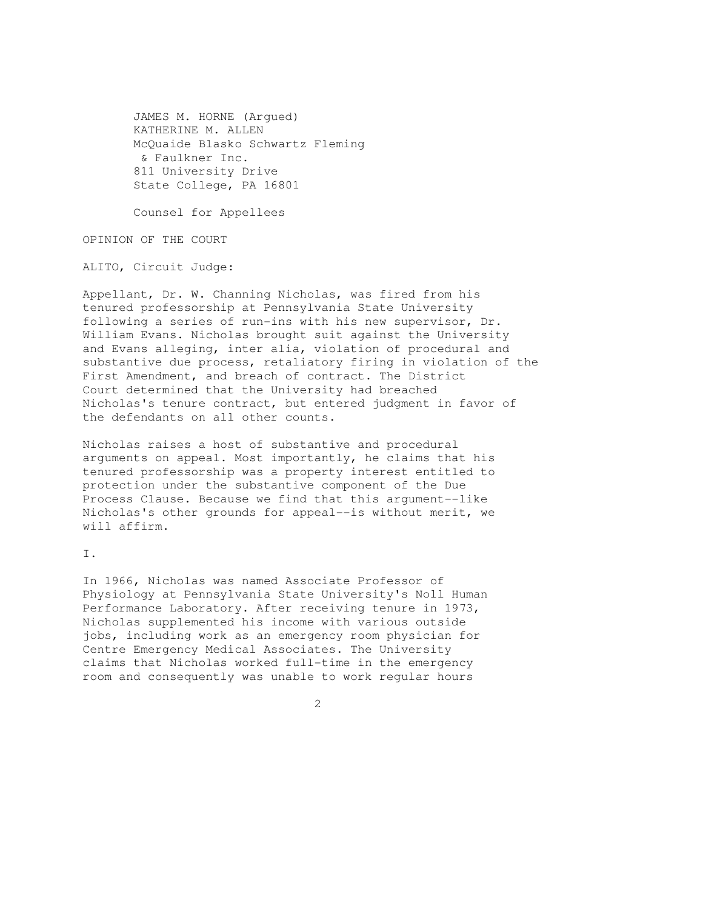JAMES M. HORNE (Argued) KATHERINE M. ALLEN McQuaide Blasko Schwartz Fleming & Faulkner Inc. 811 University Drive State College, PA 16801

Counsel for Appellees

OPINION OF THE COURT

ALITO, Circuit Judge:

Appellant, Dr. W. Channing Nicholas, was fired from his tenured professorship at Pennsylvania State University following a series of run-ins with his new supervisor, Dr. William Evans. Nicholas brought suit against the University and Evans alleging, inter alia, violation of procedural and substantive due process, retaliatory firing in violation of the First Amendment, and breach of contract. The District Court determined that the University had breached Nicholas's tenure contract, but entered judgment in favor of the defendants on all other counts.

Nicholas raises a host of substantive and procedural arguments on appeal. Most importantly, he claims that his tenured professorship was a property interest entitled to protection under the substantive component of the Due Process Clause. Because we find that this argument--like Nicholas's other grounds for appeal--is without merit, we will affirm.

I.

In 1966, Nicholas was named Associate Professor of Physiology at Pennsylvania State University's Noll Human Performance Laboratory. After receiving tenure in 1973, Nicholas supplemented his income with various outside jobs, including work as an emergency room physician for Centre Emergency Medical Associates. The University claims that Nicholas worked full-time in the emergency room and consequently was unable to work regular hours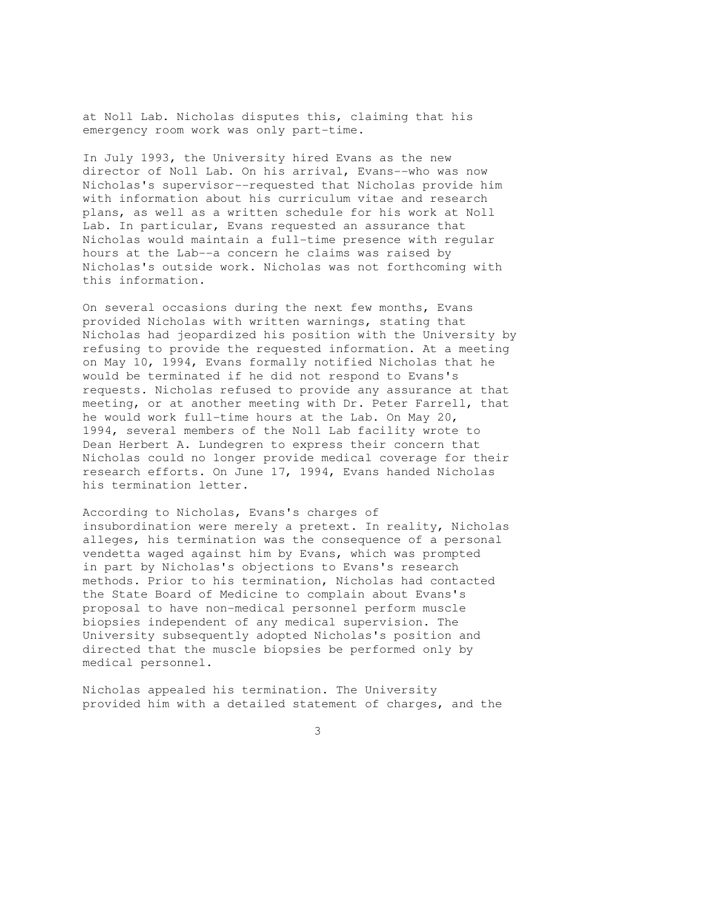at Noll Lab. Nicholas disputes this, claiming that his emergency room work was only part-time.

In July 1993, the University hired Evans as the new director of Noll Lab. On his arrival, Evans--who was now Nicholas's supervisor--requested that Nicholas provide him with information about his curriculum vitae and research plans, as well as a written schedule for his work at Noll Lab. In particular, Evans requested an assurance that Nicholas would maintain a full-time presence with regular hours at the Lab--a concern he claims was raised by Nicholas's outside work. Nicholas was not forthcoming with this information.

On several occasions during the next few months, Evans provided Nicholas with written warnings, stating that Nicholas had jeopardized his position with the University by refusing to provide the requested information. At a meeting on May 10, 1994, Evans formally notified Nicholas that he would be terminated if he did not respond to Evans's requests. Nicholas refused to provide any assurance at that meeting, or at another meeting with Dr. Peter Farrell, that he would work full-time hours at the Lab. On May 20, 1994, several members of the Noll Lab facility wrote to Dean Herbert A. Lundegren to express their concern that Nicholas could no longer provide medical coverage for their research efforts. On June 17, 1994, Evans handed Nicholas his termination letter.

According to Nicholas, Evans's charges of insubordination were merely a pretext. In reality, Nicholas alleges, his termination was the consequence of a personal vendetta waged against him by Evans, which was prompted in part by Nicholas's objections to Evans's research methods. Prior to his termination, Nicholas had contacted the State Board of Medicine to complain about Evans's proposal to have non-medical personnel perform muscle biopsies independent of any medical supervision. The University subsequently adopted Nicholas's position and directed that the muscle biopsies be performed only by medical personnel.

Nicholas appealed his termination. The University provided him with a detailed statement of charges, and the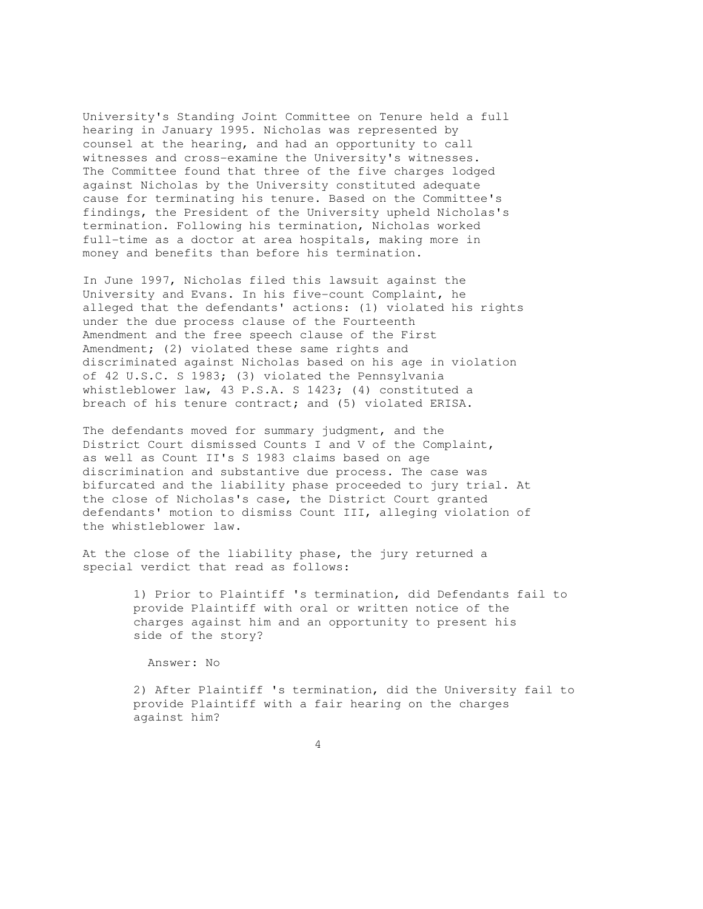University's Standing Joint Committee on Tenure held a full hearing in January 1995. Nicholas was represented by counsel at the hearing, and had an opportunity to call witnesses and cross-examine the University's witnesses. The Committee found that three of the five charges lodged against Nicholas by the University constituted adequate cause for terminating his tenure. Based on the Committee's findings, the President of the University upheld Nicholas's termination. Following his termination, Nicholas worked full-time as a doctor at area hospitals, making more in money and benefits than before his termination.

In June 1997, Nicholas filed this lawsuit against the University and Evans. In his five-count Complaint, he alleged that the defendants' actions: (1) violated his rights under the due process clause of the Fourteenth Amendment and the free speech clause of the First Amendment; (2) violated these same rights and discriminated against Nicholas based on his age in violation of 42 U.S.C. S 1983; (3) violated the Pennsylvania whistleblower law, 43 P.S.A. S 1423; (4) constituted a breach of his tenure contract; and (5) violated ERISA.

The defendants moved for summary judgment, and the District Court dismissed Counts I and V of the Complaint, as well as Count II's S 1983 claims based on age discrimination and substantive due process. The case was bifurcated and the liability phase proceeded to jury trial. At the close of Nicholas's case, the District Court granted defendants' motion to dismiss Count III, alleging violation of the whistleblower law.

At the close of the liability phase, the jury returned a special verdict that read as follows:

> 1) Prior to Plaintiff 's termination, did Defendants fail to provide Plaintiff with oral or written notice of the charges against him and an opportunity to present his side of the story?

Answer: No

 2) After Plaintiff 's termination, did the University fail to provide Plaintiff with a fair hearing on the charges against him?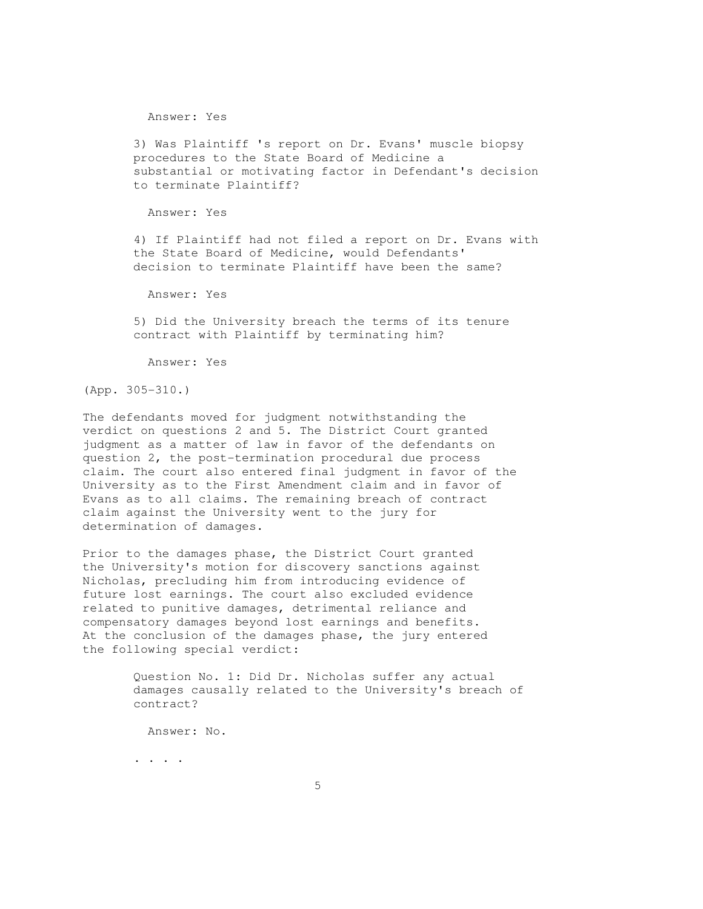Answer: Yes

 3) Was Plaintiff 's report on Dr. Evans' muscle biopsy procedures to the State Board of Medicine a substantial or motivating factor in Defendant's decision to terminate Plaintiff?

Answer: Yes

 4) If Plaintiff had not filed a report on Dr. Evans with the State Board of Medicine, would Defendants' decision to terminate Plaintiff have been the same?

Answer: Yes

 5) Did the University breach the terms of its tenure contract with Plaintiff by terminating him?

Answer: Yes

(App. 305-310.)

The defendants moved for judgment notwithstanding the verdict on questions 2 and 5. The District Court granted judgment as a matter of law in favor of the defendants on question 2, the post-termination procedural due process claim. The court also entered final judgment in favor of the University as to the First Amendment claim and in favor of Evans as to all claims. The remaining breach of contract claim against the University went to the jury for determination of damages.

Prior to the damages phase, the District Court granted the University's motion for discovery sanctions against Nicholas, precluding him from introducing evidence of future lost earnings. The court also excluded evidence related to punitive damages, detrimental reliance and compensatory damages beyond lost earnings and benefits. At the conclusion of the damages phase, the jury entered the following special verdict:

> Question No. 1: Did Dr. Nicholas suffer any actual damages causally related to the University's breach of contract?

Answer: No.

. . . .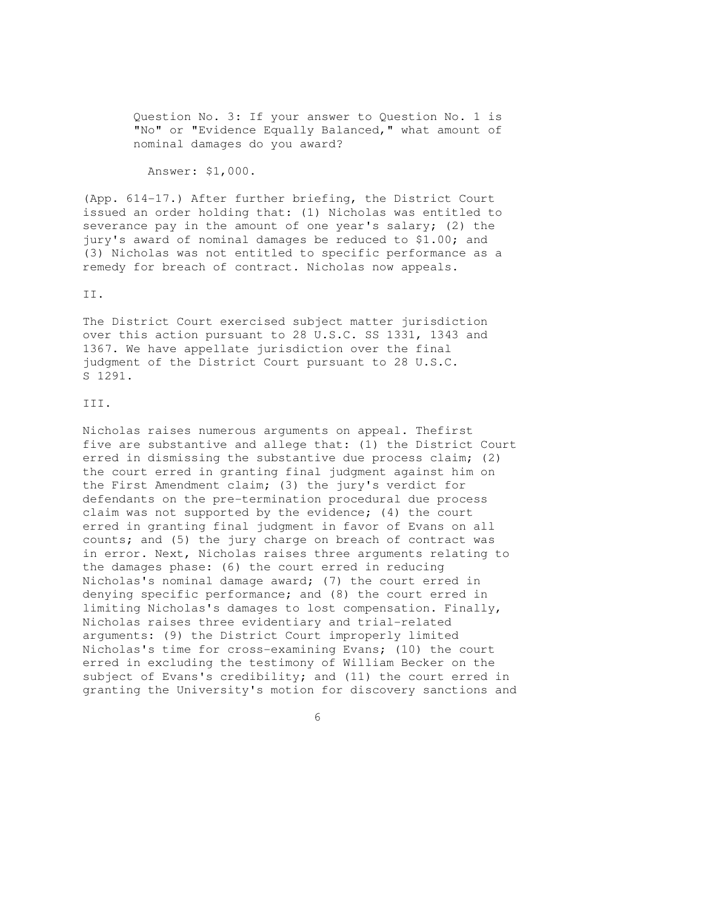Question No. 3: If your answer to Question No. 1 is "No" or "Evidence Equally Balanced," what amount of nominal damages do you award?

Answer: \$1,000.

(App. 614-17.) After further briefing, the District Court issued an order holding that: (1) Nicholas was entitled to severance pay in the amount of one year's salary; (2) the jury's award of nominal damages be reduced to \$1.00; and (3) Nicholas was not entitled to specific performance as a remedy for breach of contract. Nicholas now appeals.

#### II.

The District Court exercised subject matter jurisdiction over this action pursuant to 28 U.S.C. SS 1331, 1343 and 1367. We have appellate jurisdiction over the final judgment of the District Court pursuant to 28 U.S.C. S 1291.

#### III.

Nicholas raises numerous arguments on appeal. Thefirst five are substantive and allege that: (1) the District Court erred in dismissing the substantive due process claim; (2) the court erred in granting final judgment against him on the First Amendment claim; (3) the jury's verdict for defendants on the pre-termination procedural due process claim was not supported by the evidence; (4) the court erred in granting final judgment in favor of Evans on all counts; and (5) the jury charge on breach of contract was in error. Next, Nicholas raises three arguments relating to the damages phase: (6) the court erred in reducing Nicholas's nominal damage award; (7) the court erred in denying specific performance; and (8) the court erred in limiting Nicholas's damages to lost compensation. Finally, Nicholas raises three evidentiary and trial-related arguments: (9) the District Court improperly limited Nicholas's time for cross-examining Evans; (10) the court erred in excluding the testimony of William Becker on the subject of Evans's credibility; and (11) the court erred in granting the University's motion for discovery sanctions and

 $\sim$  6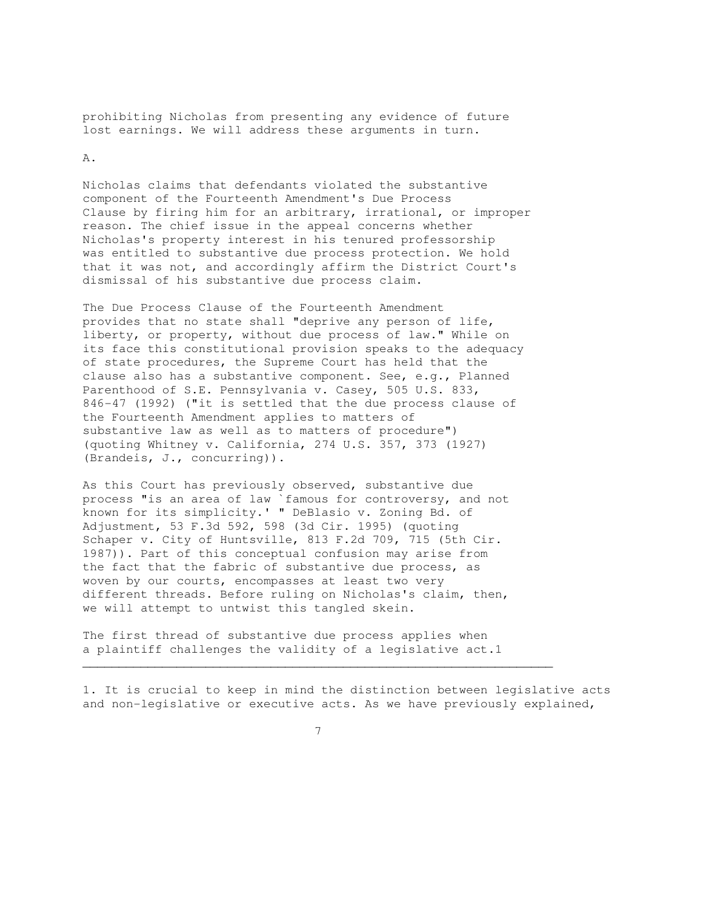prohibiting Nicholas from presenting any evidence of future lost earnings. We will address these arguments in turn.

A.

Nicholas claims that defendants violated the substantive component of the Fourteenth Amendment's Due Process Clause by firing him for an arbitrary, irrational, or improper reason. The chief issue in the appeal concerns whether Nicholas's property interest in his tenured professorship was entitled to substantive due process protection. We hold that it was not, and accordingly affirm the District Court's dismissal of his substantive due process claim.

The Due Process Clause of the Fourteenth Amendment provides that no state shall "deprive any person of life, liberty, or property, without due process of law." While on its face this constitutional provision speaks to the adequacy of state procedures, the Supreme Court has held that the clause also has a substantive component. See, e.g., Planned Parenthood of S.E. Pennsylvania v. Casey, 505 U.S. 833, 846-47 (1992) ("it is settled that the due process clause of the Fourteenth Amendment applies to matters of substantive law as well as to matters of procedure") (quoting Whitney v. California, 274 U.S. 357, 373 (1927) (Brandeis, J., concurring)).

As this Court has previously observed, substantive due process "is an area of law `famous for controversy, and not known for its simplicity.' " DeBlasio v. Zoning Bd. of Adjustment, 53 F.3d 592, 598 (3d Cir. 1995) (quoting Schaper v. City of Huntsville, 813 F.2d 709, 715 (5th Cir. 1987)). Part of this conceptual confusion may arise from the fact that the fabric of substantive due process, as woven by our courts, encompasses at least two very different threads. Before ruling on Nicholas's claim, then, we will attempt to untwist this tangled skein.

The first thread of substantive due process applies when a plaintiff challenges the validity of a legislative act.1

1. It is crucial to keep in mind the distinction between legislative acts and non-legislative or executive acts. As we have previously explained,



 $\mathcal{L}_\mathcal{L}$  , and the set of the set of the set of the set of the set of the set of the set of the set of the set of the set of the set of the set of the set of the set of the set of the set of the set of the set of th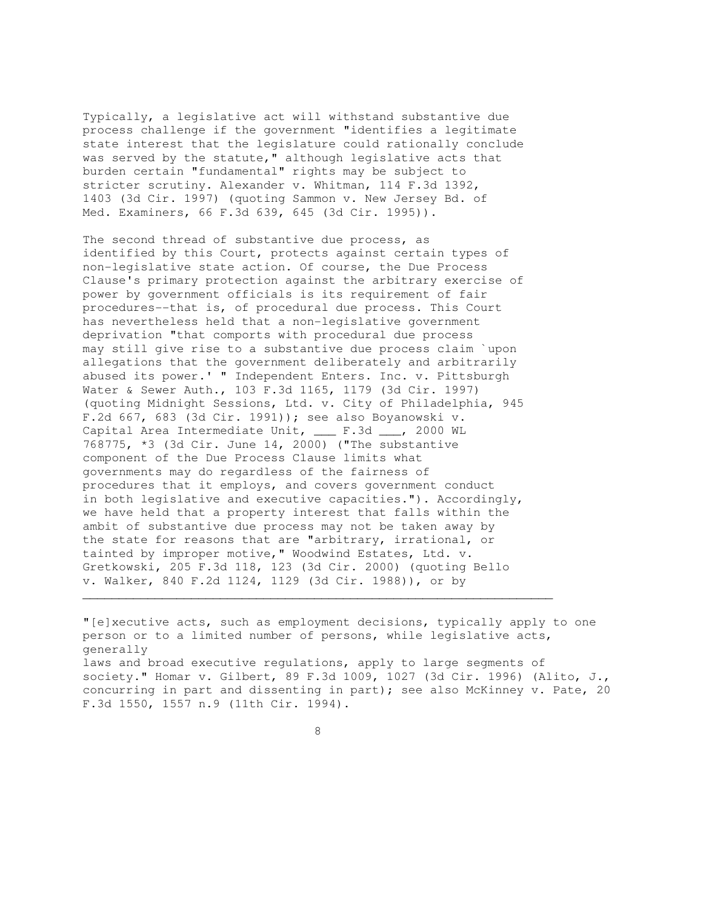Typically, a legislative act will withstand substantive due process challenge if the government "identifies a legitimate state interest that the legislature could rationally conclude was served by the statute," although legislative acts that burden certain "fundamental" rights may be subject to stricter scrutiny. Alexander v. Whitman, 114 F.3d 1392, 1403 (3d Cir. 1997) (quoting Sammon v. New Jersey Bd. of Med. Examiners, 66 F.3d 639, 645 (3d Cir. 1995)).

The second thread of substantive due process, as identified by this Court, protects against certain types of non-legislative state action. Of course, the Due Process Clause's primary protection against the arbitrary exercise of power by government officials is its requirement of fair procedures--that is, of procedural due process. This Court has nevertheless held that a non-legislative government deprivation "that comports with procedural due process may still give rise to a substantive due process claim `upon allegations that the government deliberately and arbitrarily abused its power.' " Independent Enters. Inc. v. Pittsburgh Water & Sewer Auth., 103 F.3d 1165, 1179 (3d Cir. 1997) (quoting Midnight Sessions, Ltd. v. City of Philadelphia, 945 F.2d 667, 683 (3d Cir. 1991)); see also Boyanowski v. Capital Area Intermediate Unit, \_\_\_ F.3d \_\_\_, 2000 WL 768775, \*3 (3d Cir. June 14, 2000) ("The substantive component of the Due Process Clause limits what governments may do regardless of the fairness of procedures that it employs, and covers government conduct in both legislative and executive capacities."). Accordingly, we have held that a property interest that falls within the ambit of substantive due process may not be taken away by the state for reasons that are "arbitrary, irrational, or tainted by improper motive," Woodwind Estates, Ltd. v. Gretkowski, 205 F.3d 118, 123 (3d Cir. 2000) (quoting Bello v. Walker, 840 F.2d 1124, 1129 (3d Cir. 1988)), or by  $\mathcal{L}_\mathcal{L}$  , and the contribution of the contribution of the contribution of the contribution of the contribution of the contribution of the contribution of the contribution of the contribution of the contribution of

"[e]xecutive acts, such as employment decisions, typically apply to one person or to a limited number of persons, while legislative acts, generally laws and broad executive regulations, apply to large segments of society." Homar v. Gilbert, 89 F.3d 1009, 1027 (3d Cir. 1996) (Alito, J., concurring in part and dissenting in part); see also McKinney v. Pate, 20 F.3d 1550, 1557 n.9 (11th Cir. 1994).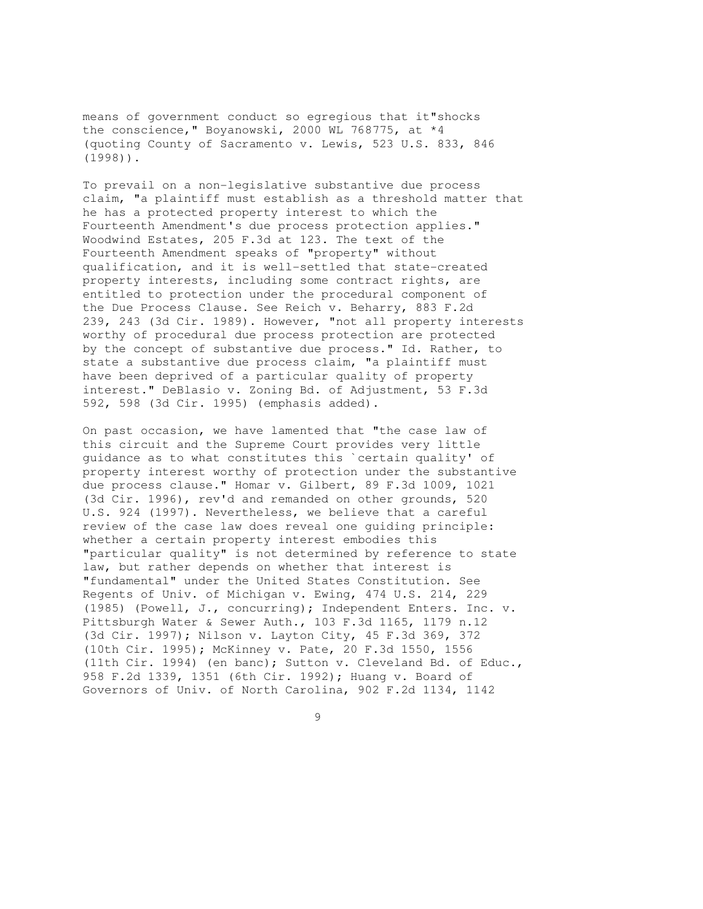means of government conduct so egregious that it"shocks the conscience," Boyanowski, 2000 WL 768775, at \*4 (quoting County of Sacramento v. Lewis, 523 U.S. 833, 846 (1998)).

To prevail on a non-legislative substantive due process claim, "a plaintiff must establish as a threshold matter that he has a protected property interest to which the Fourteenth Amendment's due process protection applies." Woodwind Estates, 205 F.3d at 123. The text of the Fourteenth Amendment speaks of "property" without qualification, and it is well-settled that state-created property interests, including some contract rights, are entitled to protection under the procedural component of the Due Process Clause. See Reich v. Beharry, 883 F.2d 239, 243 (3d Cir. 1989). However, "not all property interests worthy of procedural due process protection are protected by the concept of substantive due process." Id. Rather, to state a substantive due process claim, "a plaintiff must have been deprived of a particular quality of property interest." DeBlasio v. Zoning Bd. of Adjustment, 53 F.3d 592, 598 (3d Cir. 1995) (emphasis added).

On past occasion, we have lamented that "the case law of this circuit and the Supreme Court provides very little guidance as to what constitutes this `certain quality' of property interest worthy of protection under the substantive due process clause." Homar v. Gilbert, 89 F.3d 1009, 1021 (3d Cir. 1996), rev'd and remanded on other grounds, 520 U.S. 924 (1997). Nevertheless, we believe that a careful review of the case law does reveal one guiding principle: whether a certain property interest embodies this "particular quality" is not determined by reference to state law, but rather depends on whether that interest is "fundamental" under the United States Constitution. See Regents of Univ. of Michigan v. Ewing, 474 U.S. 214, 229 (1985) (Powell, J., concurring); Independent Enters. Inc. v. Pittsburgh Water & Sewer Auth., 103 F.3d 1165, 1179 n.12 (3d Cir. 1997); Nilson v. Layton City, 45 F.3d 369, 372 (10th Cir. 1995); McKinney v. Pate, 20 F.3d 1550, 1556 (11th Cir. 1994) (en banc); Sutton v. Cleveland Bd. of Educ., 958 F.2d 1339, 1351 (6th Cir. 1992); Huang v. Board of Governors of Univ. of North Carolina, 902 F.2d 1134, 1142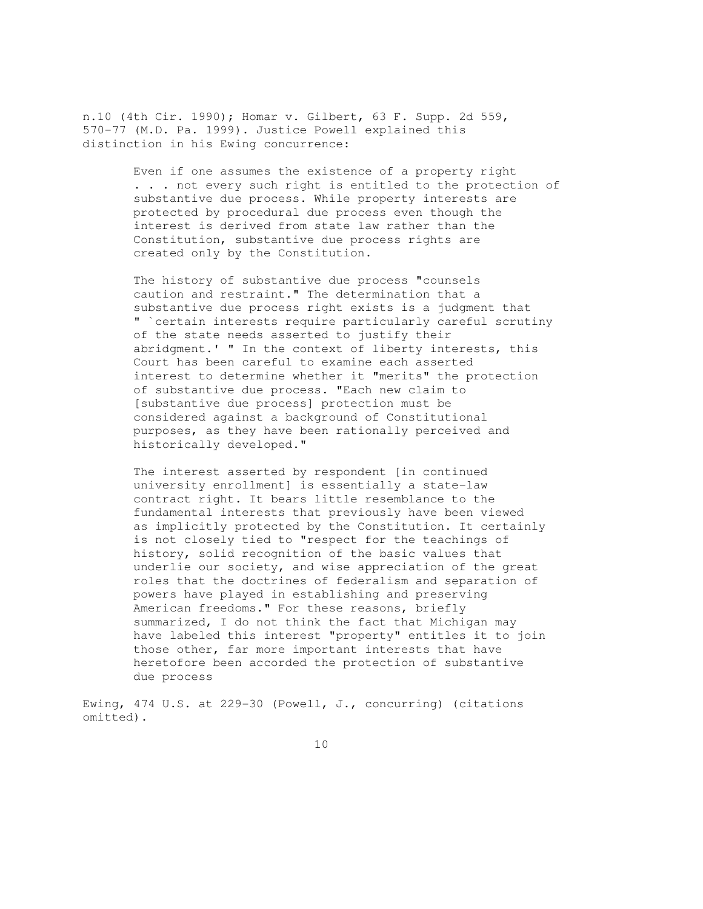n.10 (4th Cir. 1990); Homar v. Gilbert, 63 F. Supp. 2d 559, 570-77 (M.D. Pa. 1999). Justice Powell explained this distinction in his Ewing concurrence:

> Even if one assumes the existence of a property right . . . not every such right is entitled to the protection of substantive due process. While property interests are protected by procedural due process even though the interest is derived from state law rather than the Constitution, substantive due process rights are created only by the Constitution.

 The history of substantive due process "counsels caution and restraint." The determination that a substantive due process right exists is a judgment that " `certain interests require particularly careful scrutiny of the state needs asserted to justify their abridgment.' " In the context of liberty interests, this Court has been careful to examine each asserted interest to determine whether it "merits" the protection of substantive due process. "Each new claim to [substantive due process] protection must be considered against a background of Constitutional purposes, as they have been rationally perceived and historically developed."

 The interest asserted by respondent [in continued university enrollment] is essentially a state-law contract right. It bears little resemblance to the fundamental interests that previously have been viewed as implicitly protected by the Constitution. It certainly is not closely tied to "respect for the teachings of history, solid recognition of the basic values that underlie our society, and wise appreciation of the great roles that the doctrines of federalism and separation of powers have played in establishing and preserving American freedoms." For these reasons, briefly summarized, I do not think the fact that Michigan may have labeled this interest "property" entitles it to join those other, far more important interests that have heretofore been accorded the protection of substantive due process

Ewing, 474 U.S. at 229-30 (Powell, J., concurring) (citations omitted).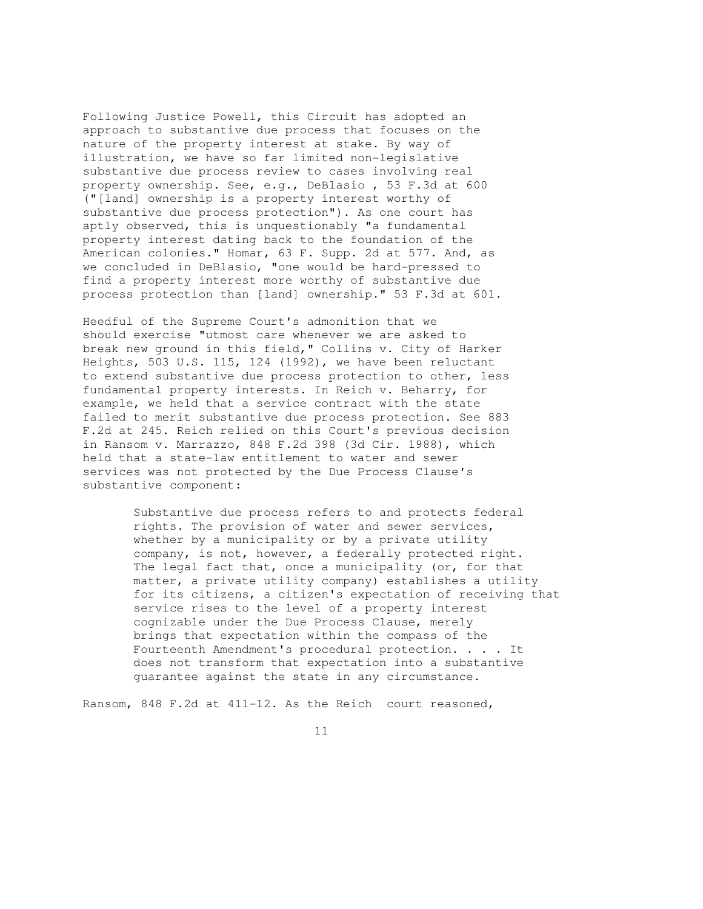Following Justice Powell, this Circuit has adopted an approach to substantive due process that focuses on the nature of the property interest at stake. By way of illustration, we have so far limited non-legislative substantive due process review to cases involving real property ownership. See, e.g., DeBlasio , 53 F.3d at 600 ("[land] ownership is a property interest worthy of substantive due process protection"). As one court has aptly observed, this is unquestionably "a fundamental property interest dating back to the foundation of the American colonies." Homar, 63 F. Supp. 2d at 577. And, as we concluded in DeBlasio, "one would be hard-pressed to find a property interest more worthy of substantive due process protection than [land] ownership." 53 F.3d at 601.

Heedful of the Supreme Court's admonition that we should exercise "utmost care whenever we are asked to break new ground in this field," Collins v. City of Harker Heights, 503 U.S. 115, 124 (1992), we have been reluctant to extend substantive due process protection to other, less fundamental property interests. In Reich v. Beharry, for example, we held that a service contract with the state failed to merit substantive due process protection. See 883 F.2d at 245. Reich relied on this Court's previous decision in Ransom v. Marrazzo, 848 F.2d 398 (3d Cir. 1988), which held that a state-law entitlement to water and sewer services was not protected by the Due Process Clause's substantive component:

> Substantive due process refers to and protects federal rights. The provision of water and sewer services, whether by a municipality or by a private utility company, is not, however, a federally protected right. The legal fact that, once a municipality (or, for that matter, a private utility company) establishes a utility for its citizens, a citizen's expectation of receiving that service rises to the level of a property interest cognizable under the Due Process Clause, merely brings that expectation within the compass of the Fourteenth Amendment's procedural protection. . . . It does not transform that expectation into a substantive guarantee against the state in any circumstance.

Ransom, 848 F.2d at 411-12. As the Reich court reasoned,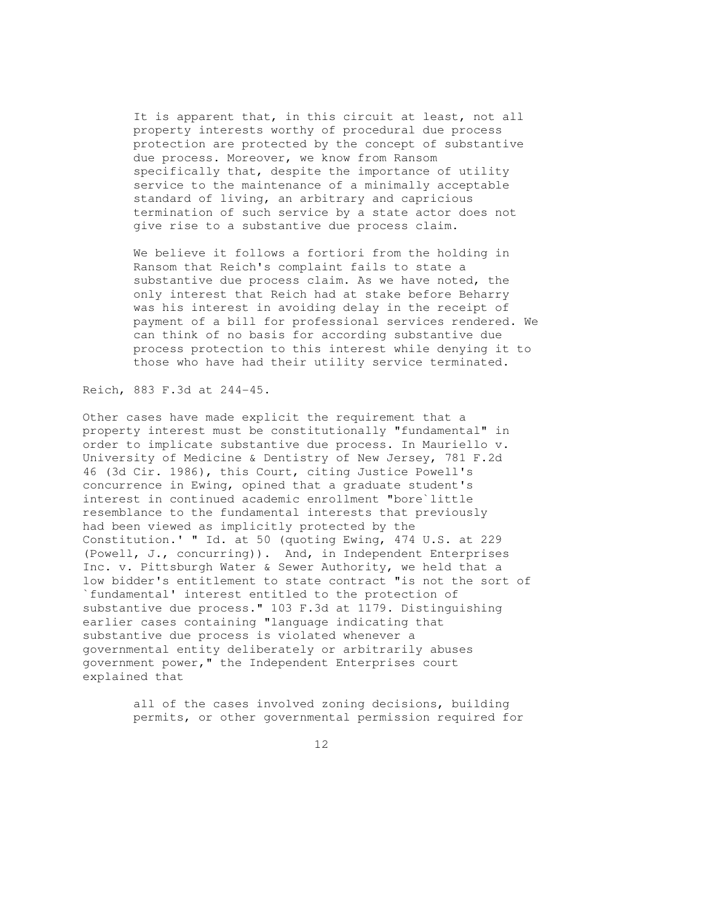It is apparent that, in this circuit at least, not all property interests worthy of procedural due process protection are protected by the concept of substantive due process. Moreover, we know from Ransom specifically that, despite the importance of utility service to the maintenance of a minimally acceptable standard of living, an arbitrary and capricious termination of such service by a state actor does not give rise to a substantive due process claim.

 We believe it follows a fortiori from the holding in Ransom that Reich's complaint fails to state a substantive due process claim. As we have noted, the only interest that Reich had at stake before Beharry was his interest in avoiding delay in the receipt of payment of a bill for professional services rendered. We can think of no basis for according substantive due process protection to this interest while denying it to those who have had their utility service terminated.

Reich, 883 F.3d at 244-45.

Other cases have made explicit the requirement that a property interest must be constitutionally "fundamental" in order to implicate substantive due process. In Mauriello v. University of Medicine & Dentistry of New Jersey, 781 F.2d 46 (3d Cir. 1986), this Court, citing Justice Powell's concurrence in Ewing, opined that a graduate student's interest in continued academic enrollment "bore`little resemblance to the fundamental interests that previously had been viewed as implicitly protected by the Constitution.' " Id. at 50 (quoting Ewing, 474 U.S. at 229 (Powell, J., concurring)). And, in Independent Enterprises Inc. v. Pittsburgh Water & Sewer Authority, we held that a low bidder's entitlement to state contract "is not the sort of `fundamental' interest entitled to the protection of substantive due process." 103 F.3d at 1179. Distinguishing earlier cases containing "language indicating that substantive due process is violated whenever a governmental entity deliberately or arbitrarily abuses government power," the Independent Enterprises court explained that

> all of the cases involved zoning decisions, building permits, or other governmental permission required for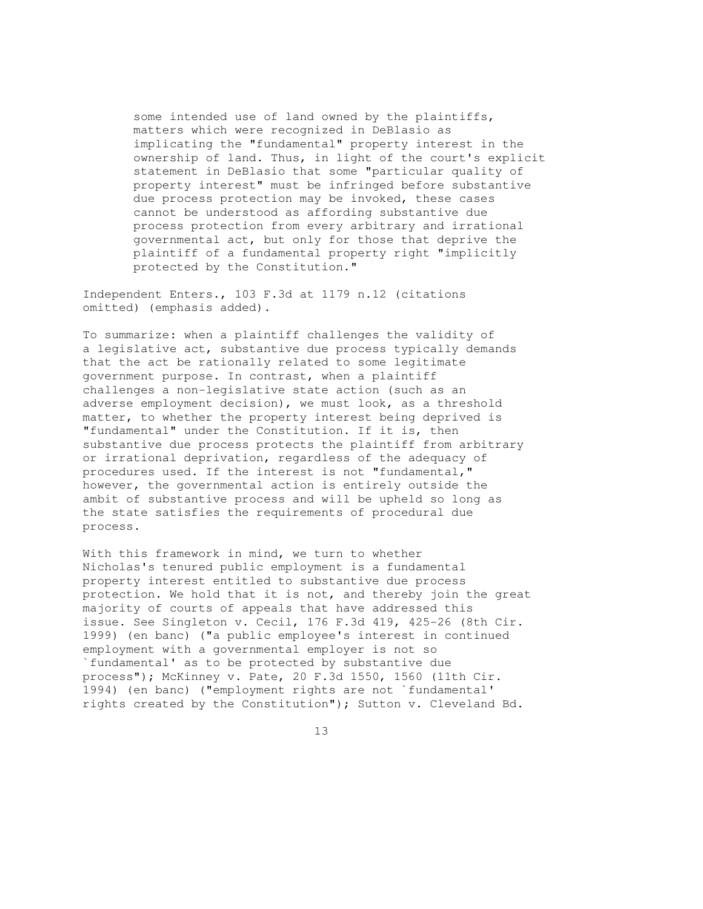some intended use of land owned by the plaintiffs, matters which were recognized in DeBlasio as implicating the "fundamental" property interest in the ownership of land. Thus, in light of the court's explicit statement in DeBlasio that some "particular quality of property interest" must be infringed before substantive due process protection may be invoked, these cases cannot be understood as affording substantive due process protection from every arbitrary and irrational governmental act, but only for those that deprive the plaintiff of a fundamental property right "implicitly protected by the Constitution."

Independent Enters., 103 F.3d at 1179 n.12 (citations omitted) (emphasis added).

To summarize: when a plaintiff challenges the validity of a legislative act, substantive due process typically demands that the act be rationally related to some legitimate government purpose. In contrast, when a plaintiff challenges a non-legislative state action (such as an adverse employment decision), we must look, as a threshold matter, to whether the property interest being deprived is "fundamental" under the Constitution. If it is, then substantive due process protects the plaintiff from arbitrary or irrational deprivation, regardless of the adequacy of procedures used. If the interest is not "fundamental," however, the governmental action is entirely outside the ambit of substantive process and will be upheld so long as the state satisfies the requirements of procedural due process.

With this framework in mind, we turn to whether Nicholas's tenured public employment is a fundamental property interest entitled to substantive due process protection. We hold that it is not, and thereby join the great majority of courts of appeals that have addressed this issue. See Singleton v. Cecil, 176 F.3d 419, 425-26 (8th Cir. 1999) (en banc) ("a public employee's interest in continued employment with a governmental employer is not so `fundamental' as to be protected by substantive due process"); McKinney v. Pate, 20 F.3d 1550, 1560 (11th Cir. 1994) (en banc) ("employment rights are not `fundamental' rights created by the Constitution"); Sutton v. Cleveland Bd.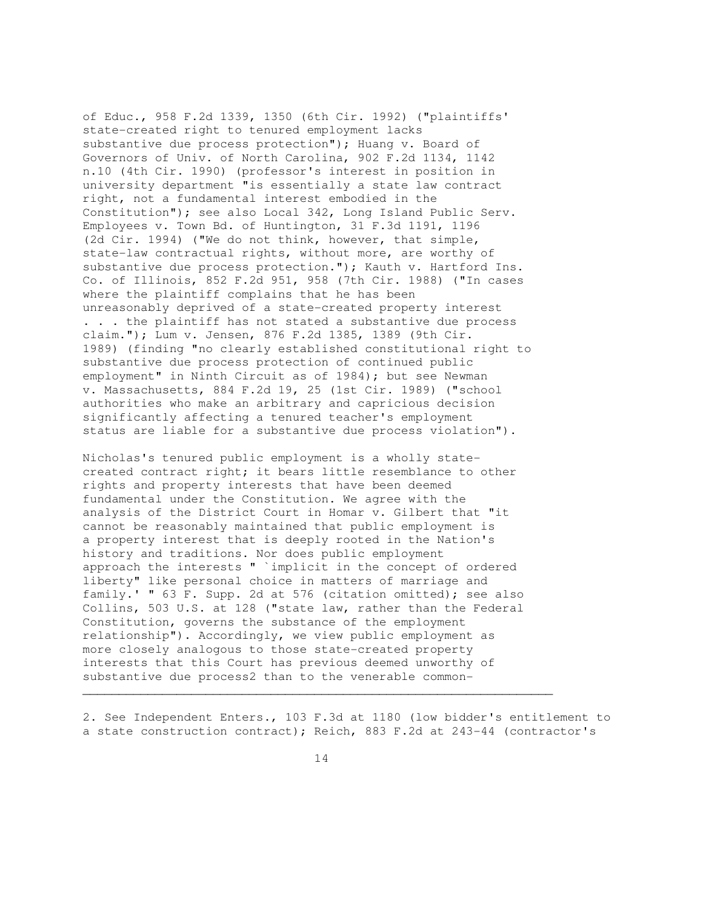of Educ., 958 F.2d 1339, 1350 (6th Cir. 1992) ("plaintiffs' state-created right to tenured employment lacks substantive due process protection"); Huang v. Board of Governors of Univ. of North Carolina, 902 F.2d 1134, 1142 n.10 (4th Cir. 1990) (professor's interest in position in university department "is essentially a state law contract right, not a fundamental interest embodied in the Constitution"); see also Local 342, Long Island Public Serv. Employees v. Town Bd. of Huntington, 31 F.3d 1191, 1196 (2d Cir. 1994) ("We do not think, however, that simple, state-law contractual rights, without more, are worthy of substantive due process protection."); Kauth v. Hartford Ins. Co. of Illinois, 852 F.2d 951, 958 (7th Cir. 1988) ("In cases where the plaintiff complains that he has been unreasonably deprived of a state-created property interest . . . the plaintiff has not stated a substantive due process claim."); Lum v. Jensen, 876 F.2d 1385, 1389 (9th Cir. 1989) (finding "no clearly established constitutional right to substantive due process protection of continued public employment" in Ninth Circuit as of 1984); but see Newman v. Massachusetts, 884 F.2d 19, 25 (1st Cir. 1989) ("school authorities who make an arbitrary and capricious decision significantly affecting a tenured teacher's employment status are liable for a substantive due process violation").

Nicholas's tenured public employment is a wholly statecreated contract right; it bears little resemblance to other rights and property interests that have been deemed fundamental under the Constitution. We agree with the analysis of the District Court in Homar v. Gilbert that "it cannot be reasonably maintained that public employment is a property interest that is deeply rooted in the Nation's history and traditions. Nor does public employment approach the interests " `implicit in the concept of ordered liberty" like personal choice in matters of marriage and family.' " 63 F. Supp. 2d at 576 (citation omitted); see also Collins, 503 U.S. at 128 ("state law, rather than the Federal Constitution, governs the substance of the employment relationship"). Accordingly, we view public employment as more closely analogous to those state-created property interests that this Court has previous deemed unworthy of substantive due process2 than to the venerable common-

2. See Independent Enters., 103 F.3d at 1180 (low bidder's entitlement to a state construction contract); Reich, 883 F.2d at 243-44 (contractor's

 $\mathcal{L}_\mathcal{L} = \{ \mathcal{L}_\mathcal{L} = \{ \mathcal{L}_\mathcal{L} = \{ \mathcal{L}_\mathcal{L} = \{ \mathcal{L}_\mathcal{L} = \{ \mathcal{L}_\mathcal{L} = \{ \mathcal{L}_\mathcal{L} = \{ \mathcal{L}_\mathcal{L} = \{ \mathcal{L}_\mathcal{L} = \{ \mathcal{L}_\mathcal{L} = \{ \mathcal{L}_\mathcal{L} = \{ \mathcal{L}_\mathcal{L} = \{ \mathcal{L}_\mathcal{L} = \{ \mathcal{L}_\mathcal{L} = \{ \mathcal{L}_\mathcal{$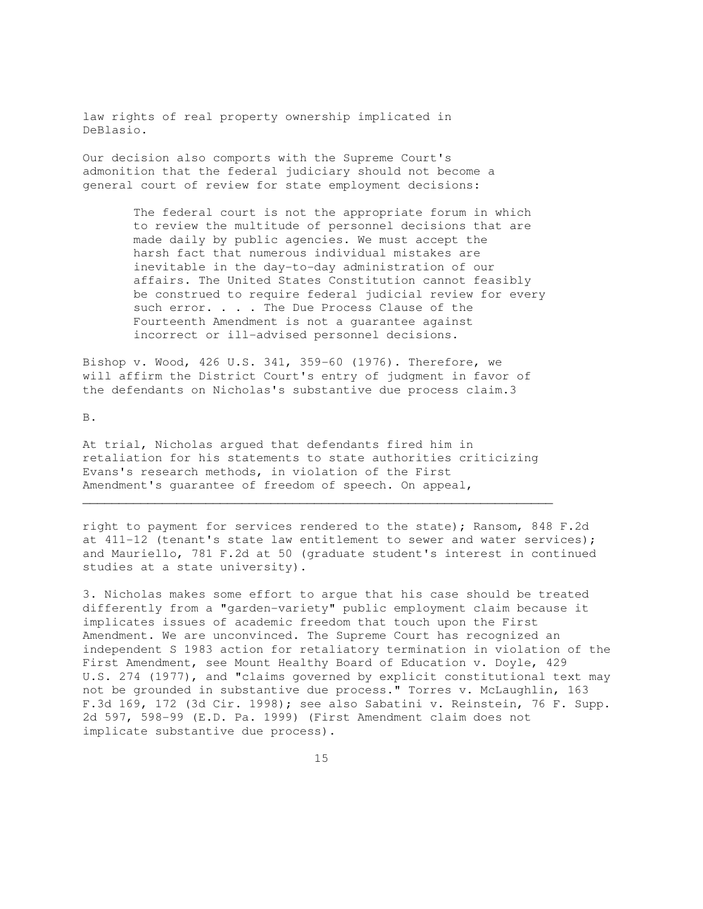law rights of real property ownership implicated in DeBlasio.

Our decision also comports with the Supreme Court's admonition that the federal judiciary should not become a general court of review for state employment decisions:

> The federal court is not the appropriate forum in which to review the multitude of personnel decisions that are made daily by public agencies. We must accept the harsh fact that numerous individual mistakes are inevitable in the day-to-day administration of our affairs. The United States Constitution cannot feasibly be construed to require federal judicial review for every such error. . . . The Due Process Clause of the Fourteenth Amendment is not a guarantee against incorrect or ill-advised personnel decisions.

Bishop v. Wood, 426 U.S. 341, 359-60 (1976). Therefore, we will affirm the District Court's entry of judgment in favor of the defendants on Nicholas's substantive due process claim.3

B.

At trial, Nicholas argued that defendants fired him in retaliation for his statements to state authorities criticizing Evans's research methods, in violation of the First Amendment's guarantee of freedom of speech. On appeal,

 $\mathcal{L}_\mathcal{L} = \{ \mathcal{L}_\mathcal{L} = \{ \mathcal{L}_\mathcal{L} = \{ \mathcal{L}_\mathcal{L} = \{ \mathcal{L}_\mathcal{L} = \{ \mathcal{L}_\mathcal{L} = \{ \mathcal{L}_\mathcal{L} = \{ \mathcal{L}_\mathcal{L} = \{ \mathcal{L}_\mathcal{L} = \{ \mathcal{L}_\mathcal{L} = \{ \mathcal{L}_\mathcal{L} = \{ \mathcal{L}_\mathcal{L} = \{ \mathcal{L}_\mathcal{L} = \{ \mathcal{L}_\mathcal{L} = \{ \mathcal{L}_\mathcal{$ 

right to payment for services rendered to the state); Ransom, 848 F.2d at 411-12 (tenant's state law entitlement to sewer and water services); and Mauriello, 781 F.2d at 50 (graduate student's interest in continued studies at a state university).

3. Nicholas makes some effort to argue that his case should be treated differently from a "garden-variety" public employment claim because it implicates issues of academic freedom that touch upon the First Amendment. We are unconvinced. The Supreme Court has recognized an independent S 1983 action for retaliatory termination in violation of the First Amendment, see Mount Healthy Board of Education v. Doyle, 429 U.S. 274 (1977), and "claims governed by explicit constitutional text may not be grounded in substantive due process." Torres v. McLaughlin, 163 F.3d 169, 172 (3d Cir. 1998); see also Sabatini v. Reinstein, 76 F. Supp. 2d 597, 598-99 (E.D. Pa. 1999) (First Amendment claim does not implicate substantive due process).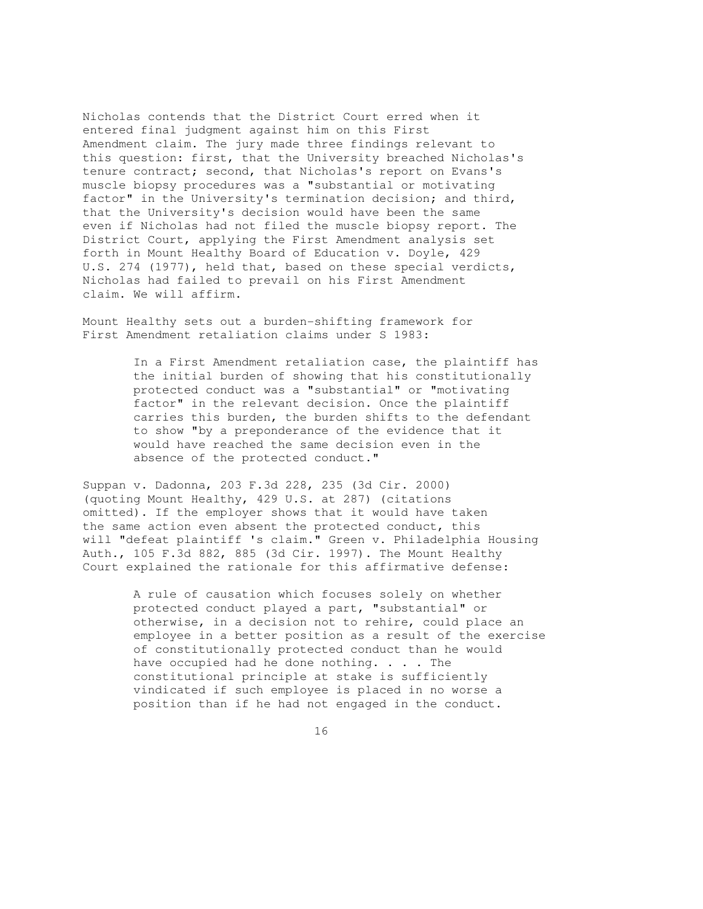Nicholas contends that the District Court erred when it entered final judgment against him on this First Amendment claim. The jury made three findings relevant to this question: first, that the University breached Nicholas's tenure contract; second, that Nicholas's report on Evans's muscle biopsy procedures was a "substantial or motivating factor" in the University's termination decision; and third, that the University's decision would have been the same even if Nicholas had not filed the muscle biopsy report. The District Court, applying the First Amendment analysis set forth in Mount Healthy Board of Education v. Doyle, 429 U.S. 274 (1977), held that, based on these special verdicts, Nicholas had failed to prevail on his First Amendment claim. We will affirm.

Mount Healthy sets out a burden-shifting framework for First Amendment retaliation claims under S 1983:

> In a First Amendment retaliation case, the plaintiff has the initial burden of showing that his constitutionally protected conduct was a "substantial" or "motivating factor" in the relevant decision. Once the plaintiff carries this burden, the burden shifts to the defendant to show "by a preponderance of the evidence that it would have reached the same decision even in the absence of the protected conduct."

Suppan v. Dadonna, 203 F.3d 228, 235 (3d Cir. 2000) (quoting Mount Healthy, 429 U.S. at 287) (citations omitted). If the employer shows that it would have taken the same action even absent the protected conduct, this will "defeat plaintiff 's claim." Green v. Philadelphia Housing Auth., 105 F.3d 882, 885 (3d Cir. 1997). The Mount Healthy Court explained the rationale for this affirmative defense:

> A rule of causation which focuses solely on whether protected conduct played a part, "substantial" or otherwise, in a decision not to rehire, could place an employee in a better position as a result of the exercise of constitutionally protected conduct than he would have occupied had he done nothing.  $\ldots$  . The constitutional principle at stake is sufficiently vindicated if such employee is placed in no worse a position than if he had not engaged in the conduct.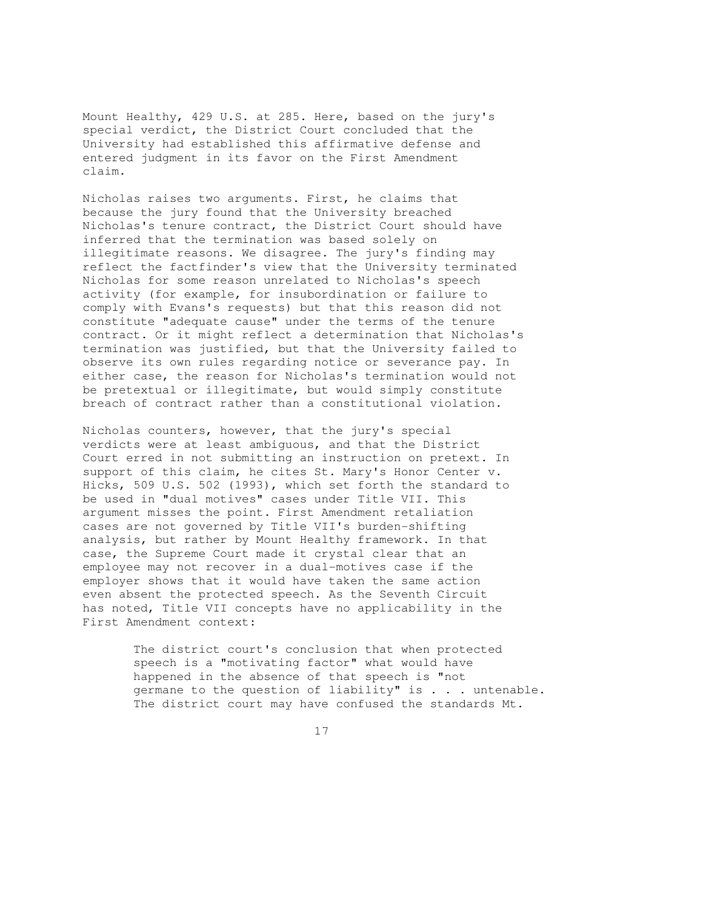Mount Healthy, 429 U.S. at 285. Here, based on the jury's special verdict, the District Court concluded that the University had established this affirmative defense and entered judgment in its favor on the First Amendment claim.

Nicholas raises two arguments. First, he claims that because the jury found that the University breached Nicholas's tenure contract, the District Court should have inferred that the termination was based solely on illegitimate reasons. We disagree. The jury's finding may reflect the factfinder's view that the University terminated Nicholas for some reason unrelated to Nicholas's speech activity (for example, for insubordination or failure to comply with Evans's requests) but that this reason did not constitute "adequate cause" under the terms of the tenure contract. Or it might reflect a determination that Nicholas's termination was justified, but that the University failed to observe its own rules regarding notice or severance pay. In either case, the reason for Nicholas's termination would not be pretextual or illegitimate, but would simply constitute breach of contract rather than a constitutional violation.

Nicholas counters, however, that the jury's special verdicts were at least ambiguous, and that the District Court erred in not submitting an instruction on pretext. In support of this claim, he cites St. Mary's Honor Center v. Hicks, 509 U.S. 502 (1993), which set forth the standard to be used in "dual motives" cases under Title VII. This argument misses the point. First Amendment retaliation cases are not governed by Title VII's burden-shifting analysis, but rather by Mount Healthy framework. In that case, the Supreme Court made it crystal clear that an employee may not recover in a dual-motives case if the employer shows that it would have taken the same action even absent the protected speech. As the Seventh Circuit has noted, Title VII concepts have no applicability in the First Amendment context:

> The district court's conclusion that when protected speech is a "motivating factor" what would have happened in the absence of that speech is "not germane to the question of liability" is . . . untenable. The district court may have confused the standards Mt.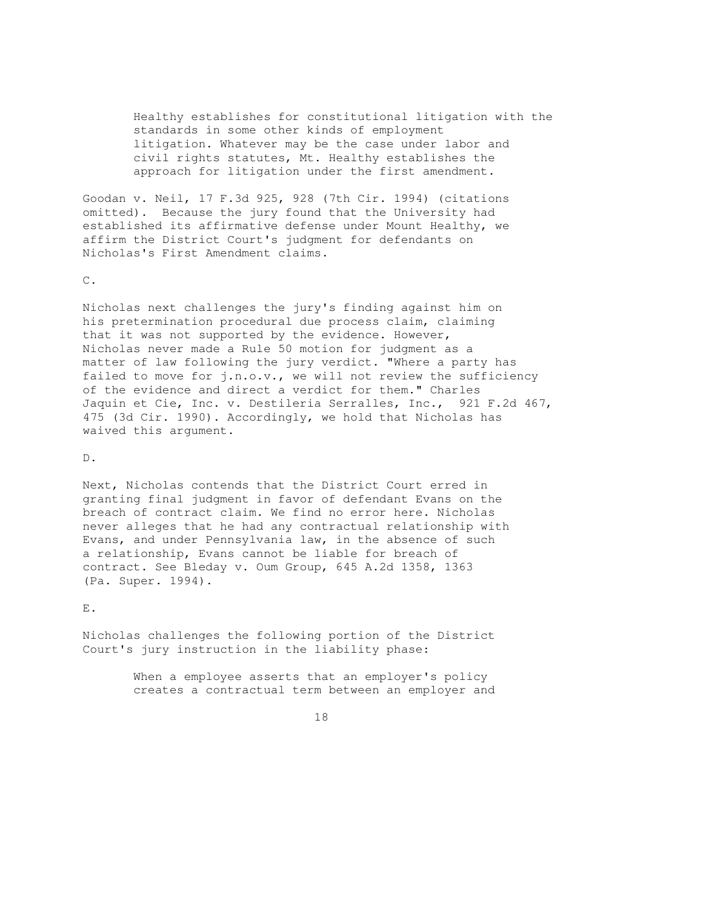Healthy establishes for constitutional litigation with the standards in some other kinds of employment litigation. Whatever may be the case under labor and civil rights statutes, Mt. Healthy establishes the approach for litigation under the first amendment.

Goodan v. Neil, 17 F.3d 925, 928 (7th Cir. 1994) (citations omitted). Because the jury found that the University had established its affirmative defense under Mount Healthy, we affirm the District Court's judgment for defendants on Nicholas's First Amendment claims.

C.

Nicholas next challenges the jury's finding against him on his pretermination procedural due process claim, claiming that it was not supported by the evidence. However, Nicholas never made a Rule 50 motion for judgment as a matter of law following the jury verdict. "Where a party has failed to move for j.n.o.v., we will not review the sufficiency of the evidence and direct a verdict for them." Charles Jaquin et Cie, Inc. v. Destileria Serralles, Inc., 921 F.2d 467, 475 (3d Cir. 1990). Accordingly, we hold that Nicholas has waived this argument.

D.

Next, Nicholas contends that the District Court erred in granting final judgment in favor of defendant Evans on the breach of contract claim. We find no error here. Nicholas never alleges that he had any contractual relationship with Evans, and under Pennsylvania law, in the absence of such a relationship, Evans cannot be liable for breach of contract. See Bleday v. Oum Group, 645 A.2d 1358, 1363 (Pa. Super. 1994).

E.

Nicholas challenges the following portion of the District Court's jury instruction in the liability phase:

> When a employee asserts that an employer's policy creates a contractual term between an employer and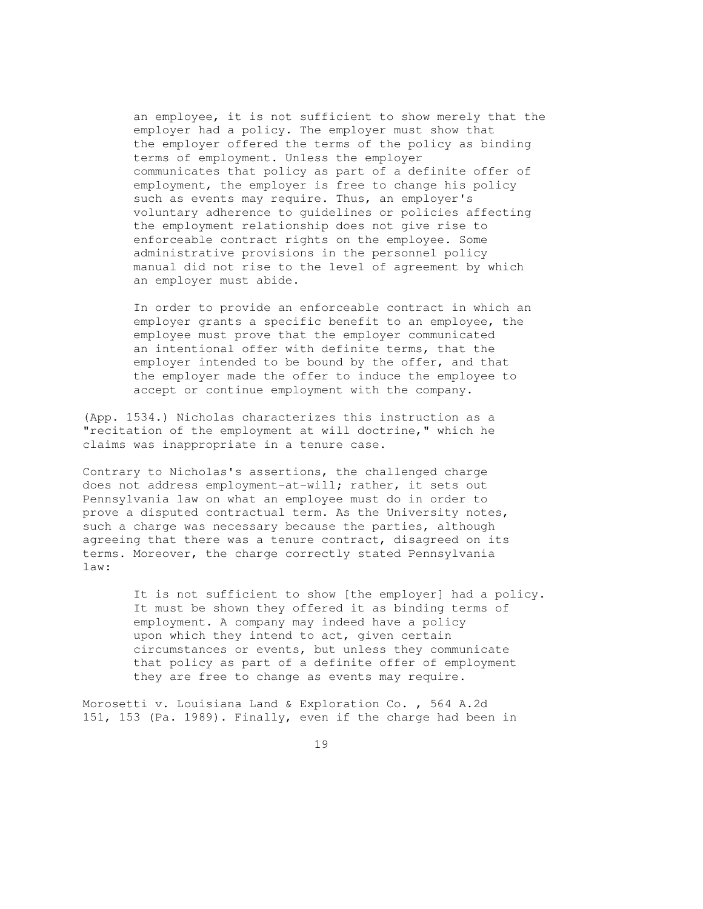an employee, it is not sufficient to show merely that the employer had a policy. The employer must show that the employer offered the terms of the policy as binding terms of employment. Unless the employer communicates that policy as part of a definite offer of employment, the employer is free to change his policy such as events may require. Thus, an employer's voluntary adherence to guidelines or policies affecting the employment relationship does not give rise to enforceable contract rights on the employee. Some administrative provisions in the personnel policy manual did not rise to the level of agreement by which an employer must abide.

 In order to provide an enforceable contract in which an employer grants a specific benefit to an employee, the employee must prove that the employer communicated an intentional offer with definite terms, that the employer intended to be bound by the offer, and that the employer made the offer to induce the employee to accept or continue employment with the company.

(App. 1534.) Nicholas characterizes this instruction as a "recitation of the employment at will doctrine," which he claims was inappropriate in a tenure case.

Contrary to Nicholas's assertions, the challenged charge does not address employment-at-will; rather, it sets out Pennsylvania law on what an employee must do in order to prove a disputed contractual term. As the University notes, such a charge was necessary because the parties, although agreeing that there was a tenure contract, disagreed on its terms. Moreover, the charge correctly stated Pennsylvania law:

> It is not sufficient to show [the employer] had a policy. It must be shown they offered it as binding terms of employment. A company may indeed have a policy upon which they intend to act, given certain circumstances or events, but unless they communicate that policy as part of a definite offer of employment they are free to change as events may require.

Morosetti v. Louisiana Land & Exploration Co. , 564 A.2d 151, 153 (Pa. 1989). Finally, even if the charge had been in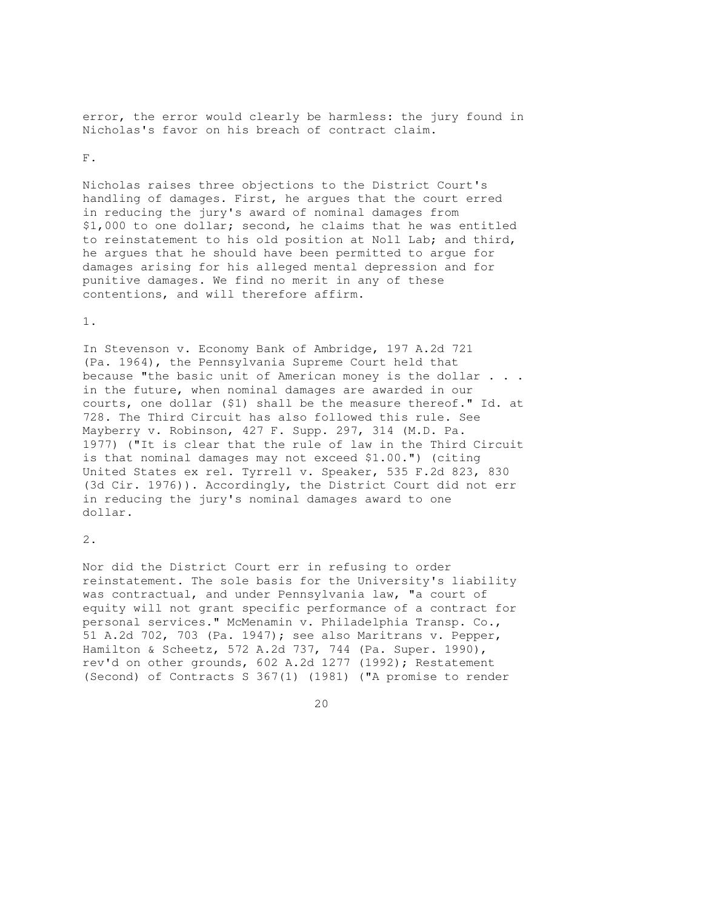error, the error would clearly be harmless: the jury found in Nicholas's favor on his breach of contract claim.

#### F.

Nicholas raises three objections to the District Court's handling of damages. First, he argues that the court erred in reducing the jury's award of nominal damages from \$1,000 to one dollar; second, he claims that he was entitled to reinstatement to his old position at Noll Lab; and third, he argues that he should have been permitted to argue for damages arising for his alleged mental depression and for punitive damages. We find no merit in any of these contentions, and will therefore affirm.

## 1.

In Stevenson v. Economy Bank of Ambridge, 197 A.2d 721 (Pa. 1964), the Pennsylvania Supreme Court held that because "the basic unit of American money is the dollar . . . in the future, when nominal damages are awarded in our courts, one dollar (\$1) shall be the measure thereof." Id. at 728. The Third Circuit has also followed this rule. See Mayberry v. Robinson, 427 F. Supp. 297, 314 (M.D. Pa. 1977) ("It is clear that the rule of law in the Third Circuit is that nominal damages may not exceed \$1.00.") (citing United States ex rel. Tyrrell v. Speaker, 535 F.2d 823, 830 (3d Cir. 1976)). Accordingly, the District Court did not err in reducing the jury's nominal damages award to one dollar.

### 2.

Nor did the District Court err in refusing to order reinstatement. The sole basis for the University's liability was contractual, and under Pennsylvania law, "a court of equity will not grant specific performance of a contract for personal services." McMenamin v. Philadelphia Transp. Co., 51 A.2d 702, 703 (Pa. 1947); see also Maritrans v. Pepper, Hamilton & Scheetz, 572 A.2d 737, 744 (Pa. Super. 1990), rev'd on other grounds, 602 A.2d 1277 (1992); Restatement (Second) of Contracts S 367(1) (1981) ("A promise to render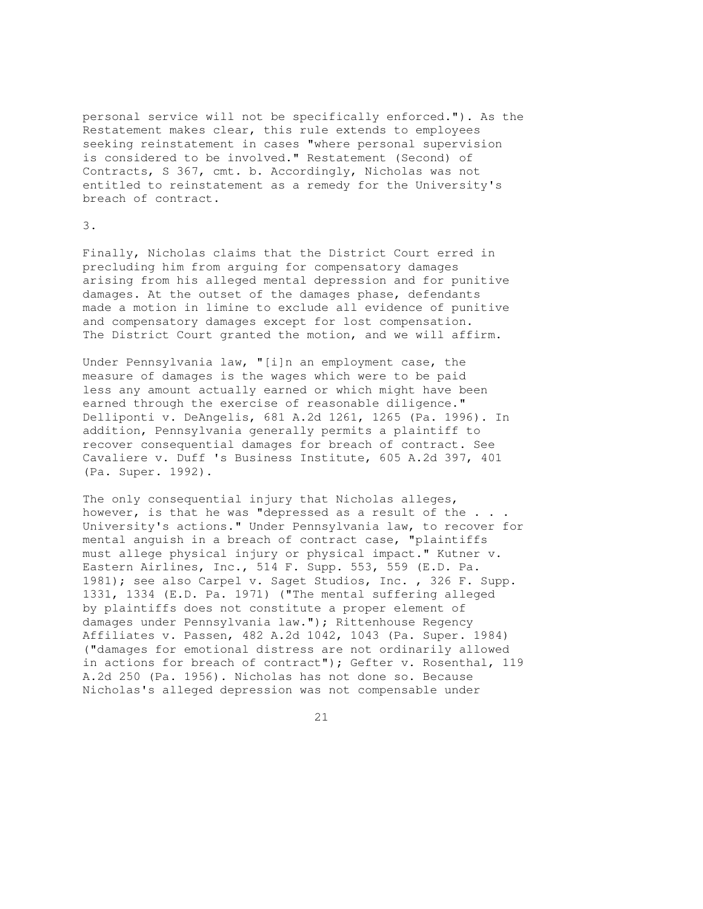personal service will not be specifically enforced."). As the Restatement makes clear, this rule extends to employees seeking reinstatement in cases "where personal supervision is considered to be involved." Restatement (Second) of Contracts, S 367, cmt. b. Accordingly, Nicholas was not entitled to reinstatement as a remedy for the University's breach of contract.

#### 3.

Finally, Nicholas claims that the District Court erred in precluding him from arguing for compensatory damages arising from his alleged mental depression and for punitive damages. At the outset of the damages phase, defendants made a motion in limine to exclude all evidence of punitive and compensatory damages except for lost compensation. The District Court granted the motion, and we will affirm.

Under Pennsylvania law, "[i]n an employment case, the measure of damages is the wages which were to be paid less any amount actually earned or which might have been earned through the exercise of reasonable diligence." Delliponti v. DeAngelis, 681 A.2d 1261, 1265 (Pa. 1996). In addition, Pennsylvania generally permits a plaintiff to recover consequential damages for breach of contract. See Cavaliere v. Duff 's Business Institute, 605 A.2d 397, 401 (Pa. Super. 1992).

The only consequential injury that Nicholas alleges, however, is that he was "depressed as a result of the . . . University's actions." Under Pennsylvania law, to recover for mental anguish in a breach of contract case, "plaintiffs must allege physical injury or physical impact." Kutner v. Eastern Airlines, Inc., 514 F. Supp. 553, 559 (E.D. Pa. 1981); see also Carpel v. Saget Studios, Inc. , 326 F. Supp. 1331, 1334 (E.D. Pa. 1971) ("The mental suffering alleged by plaintiffs does not constitute a proper element of damages under Pennsylvania law."); Rittenhouse Regency Affiliates v. Passen, 482 A.2d 1042, 1043 (Pa. Super. 1984) ("damages for emotional distress are not ordinarily allowed in actions for breach of contract"); Gefter v. Rosenthal, 119 A.2d 250 (Pa. 1956). Nicholas has not done so. Because Nicholas's alleged depression was not compensable under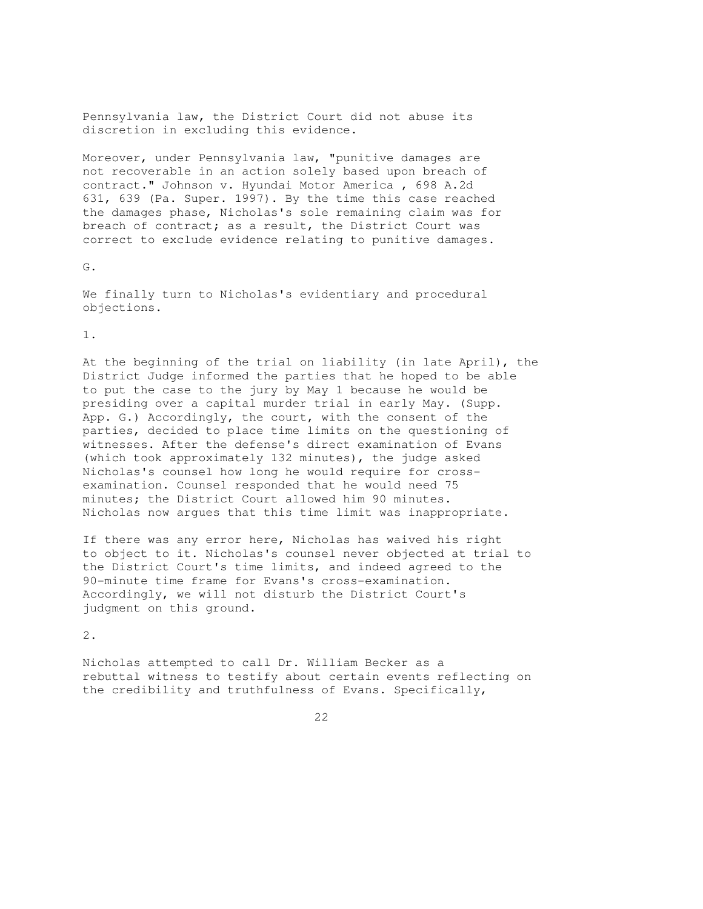Pennsylvania law, the District Court did not abuse its discretion in excluding this evidence.

Moreover, under Pennsylvania law, "punitive damages are not recoverable in an action solely based upon breach of contract." Johnson v. Hyundai Motor America , 698 A.2d 631, 639 (Pa. Super. 1997). By the time this case reached the damages phase, Nicholas's sole remaining claim was for breach of contract; as a result, the District Court was correct to exclude evidence relating to punitive damages.

G.

We finally turn to Nicholas's evidentiary and procedural objections.

1.

At the beginning of the trial on liability (in late April), the District Judge informed the parties that he hoped to be able to put the case to the jury by May 1 because he would be presiding over a capital murder trial in early May. (Supp. App. G.) Accordingly, the court, with the consent of the parties, decided to place time limits on the questioning of witnesses. After the defense's direct examination of Evans (which took approximately 132 minutes), the judge asked Nicholas's counsel how long he would require for crossexamination. Counsel responded that he would need 75 minutes; the District Court allowed him 90 minutes. Nicholas now argues that this time limit was inappropriate.

If there was any error here, Nicholas has waived his right to object to it. Nicholas's counsel never objected at trial to the District Court's time limits, and indeed agreed to the 90-minute time frame for Evans's cross-examination. Accordingly, we will not disturb the District Court's judgment on this ground.

2.

Nicholas attempted to call Dr. William Becker as a rebuttal witness to testify about certain events reflecting on the credibility and truthfulness of Evans. Specifically,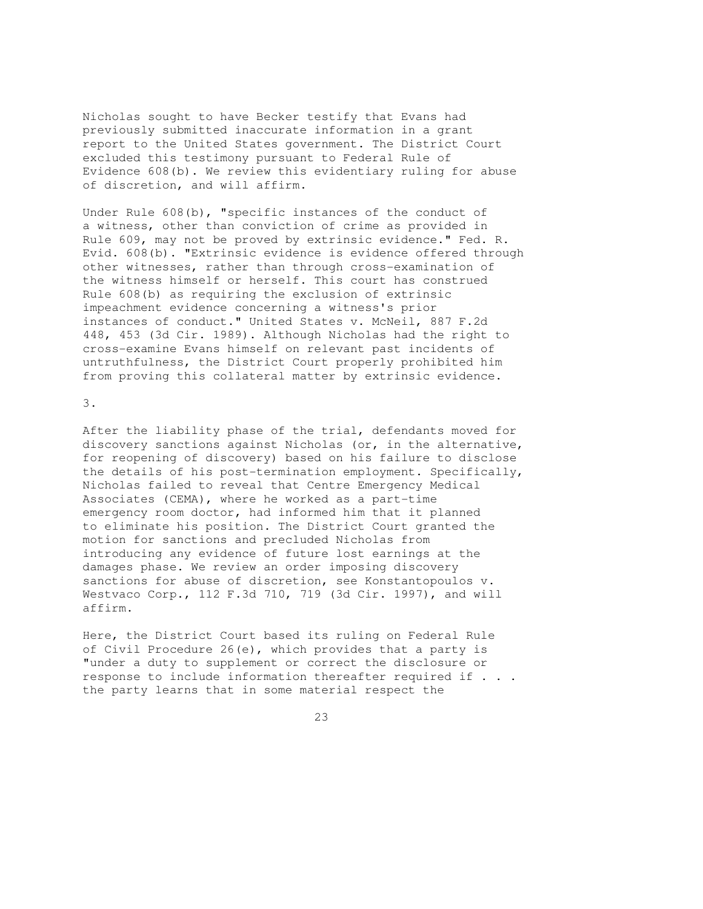Nicholas sought to have Becker testify that Evans had previously submitted inaccurate information in a grant report to the United States government. The District Court excluded this testimony pursuant to Federal Rule of Evidence 608(b). We review this evidentiary ruling for abuse of discretion, and will affirm.

Under Rule 608(b), "specific instances of the conduct of a witness, other than conviction of crime as provided in Rule 609, may not be proved by extrinsic evidence." Fed. R. Evid. 608(b). "Extrinsic evidence is evidence offered through other witnesses, rather than through cross-examination of the witness himself or herself. This court has construed Rule 608(b) as requiring the exclusion of extrinsic impeachment evidence concerning a witness's prior instances of conduct." United States v. McNeil, 887 F.2d 448, 453 (3d Cir. 1989). Although Nicholas had the right to cross-examine Evans himself on relevant past incidents of untruthfulness, the District Court properly prohibited him from proving this collateral matter by extrinsic evidence.

3.

After the liability phase of the trial, defendants moved for discovery sanctions against Nicholas (or, in the alternative, for reopening of discovery) based on his failure to disclose the details of his post-termination employment. Specifically, Nicholas failed to reveal that Centre Emergency Medical Associates (CEMA), where he worked as a part-time emergency room doctor, had informed him that it planned to eliminate his position. The District Court granted the motion for sanctions and precluded Nicholas from introducing any evidence of future lost earnings at the damages phase. We review an order imposing discovery sanctions for abuse of discretion, see Konstantopoulos v. Westvaco Corp., 112 F.3d 710, 719 (3d Cir. 1997), and will affirm.

Here, the District Court based its ruling on Federal Rule of Civil Procedure 26(e), which provides that a party is "under a duty to supplement or correct the disclosure or response to include information thereafter required if . . . the party learns that in some material respect the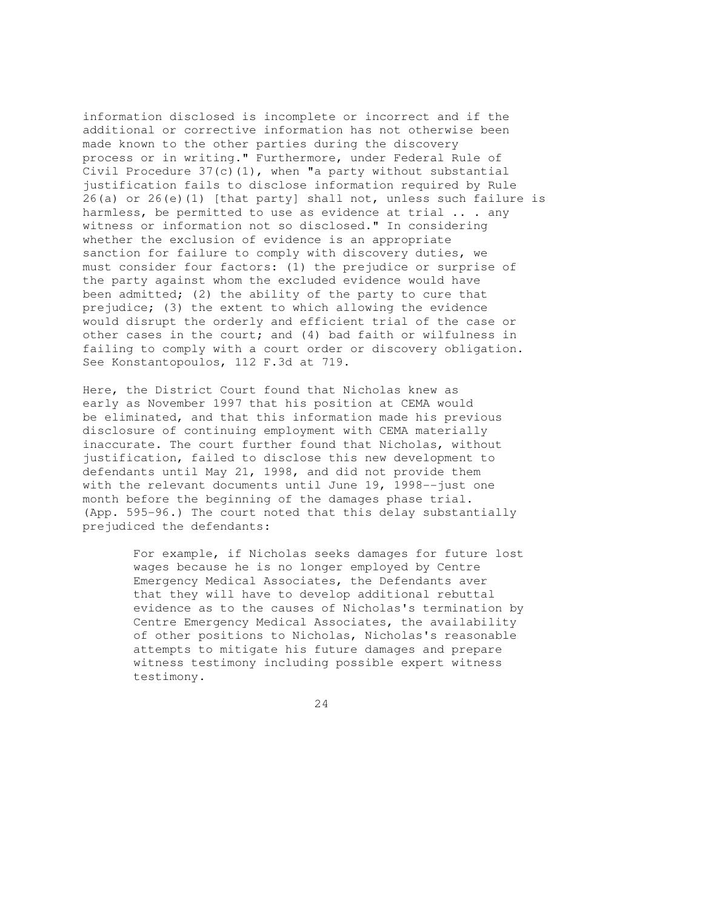information disclosed is incomplete or incorrect and if the additional or corrective information has not otherwise been made known to the other parties during the discovery process or in writing." Furthermore, under Federal Rule of Civil Procedure 37(c)(1), when "a party without substantial justification fails to disclose information required by Rule 26(a) or 26(e)(1) [that party] shall not, unless such failure is harmless, be permitted to use as evidence at trial ... any witness or information not so disclosed." In considering whether the exclusion of evidence is an appropriate sanction for failure to comply with discovery duties, we must consider four factors: (1) the prejudice or surprise of the party against whom the excluded evidence would have been admitted; (2) the ability of the party to cure that prejudice; (3) the extent to which allowing the evidence would disrupt the orderly and efficient trial of the case or other cases in the court; and (4) bad faith or wilfulness in failing to comply with a court order or discovery obligation. See Konstantopoulos, 112 F.3d at 719.

Here, the District Court found that Nicholas knew as early as November 1997 that his position at CEMA would be eliminated, and that this information made his previous disclosure of continuing employment with CEMA materially inaccurate. The court further found that Nicholas, without justification, failed to disclose this new development to defendants until May 21, 1998, and did not provide them with the relevant documents until June 19, 1998--just one month before the beginning of the damages phase trial. (App. 595-96.) The court noted that this delay substantially prejudiced the defendants:

> For example, if Nicholas seeks damages for future lost wages because he is no longer employed by Centre Emergency Medical Associates, the Defendants aver that they will have to develop additional rebuttal evidence as to the causes of Nicholas's termination by Centre Emergency Medical Associates, the availability of other positions to Nicholas, Nicholas's reasonable attempts to mitigate his future damages and prepare witness testimony including possible expert witness testimony.